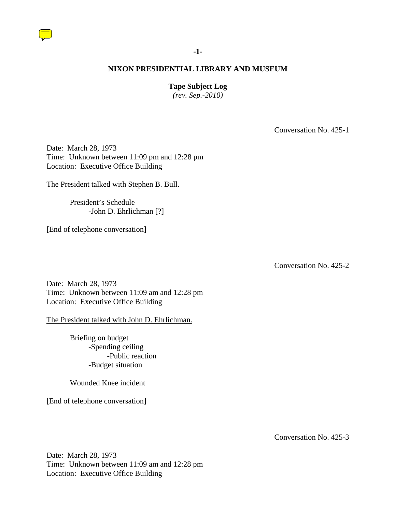

## **-1-**

## **NIXON PRESIDENTIAL LIBRARY AND MUSEUM**

## **Tape Subject Log**

*(rev. Sep.-2010)*

Conversation No. 425-1

Date: March 28, 1973 Time: Unknown between 11:09 pm and 12:28 pm Location: Executive Office Building

The President talked with Stephen B. Bull.

President's Schedule -John D. Ehrlichman [?]

[End of telephone conversation]

Conversation No. 425-2

Date: March 28, 1973 Time: Unknown between 11:09 am and 12:28 pm Location: Executive Office Building

The President talked with John D. Ehrlichman.

Briefing on budget -Spending ceiling -Public reaction -Budget situation

Wounded Knee incident

[End of telephone conversation]

Conversation No. 425-3

Date: March 28, 1973 Time: Unknown between 11:09 am and 12:28 pm Location: Executive Office Building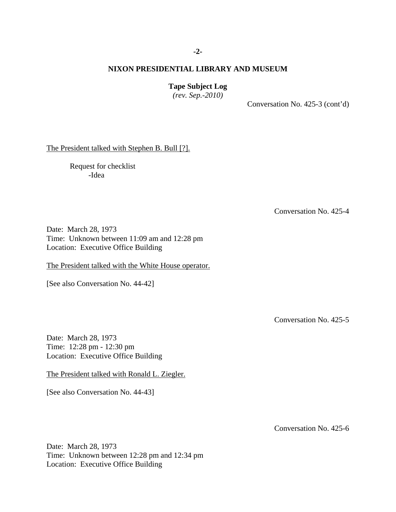## **-2-**

## **NIXON PRESIDENTIAL LIBRARY AND MUSEUM**

**Tape Subject Log**

*(rev. Sep.-2010)*

Conversation No. 425-3 (cont'd)

The President talked with Stephen B. Bull [?].

Request for checklist -Idea

Conversation No. 425-4

Date: March 28, 1973 Time: Unknown between 11:09 am and 12:28 pm Location: Executive Office Building

The President talked with the White House operator.

[See also Conversation No. 44-42]

Conversation No. 425-5

Date: March 28, 1973 Time: 12:28 pm - 12:30 pm Location: Executive Office Building

The President talked with Ronald L. Ziegler.

[See also Conversation No. 44-43]

Conversation No. 425-6

Date: March 28, 1973 Time: Unknown between 12:28 pm and 12:34 pm Location: Executive Office Building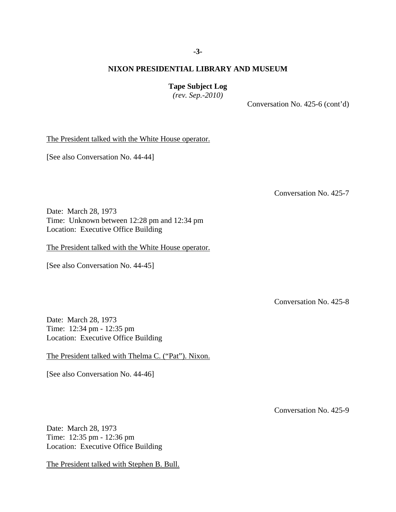**Tape Subject Log**

*(rev. Sep.-2010)*

Conversation No. 425-6 (cont'd)

The President talked with the White House operator.

[See also Conversation No. 44-44]

Conversation No. 425-7

Date: March 28, 1973 Time: Unknown between 12:28 pm and 12:34 pm Location: Executive Office Building

The President talked with the White House operator.

[See also Conversation No. 44-45]

Conversation No. 425-8

Date: March 28, 1973 Time: 12:34 pm - 12:35 pm Location: Executive Office Building

The President talked with Thelma C. ("Pat"). Nixon.

[See also Conversation No. 44-46]

Conversation No. 425-9

Date: March 28, 1973 Time: 12:35 pm - 12:36 pm Location: Executive Office Building

The President talked with Stephen B. Bull.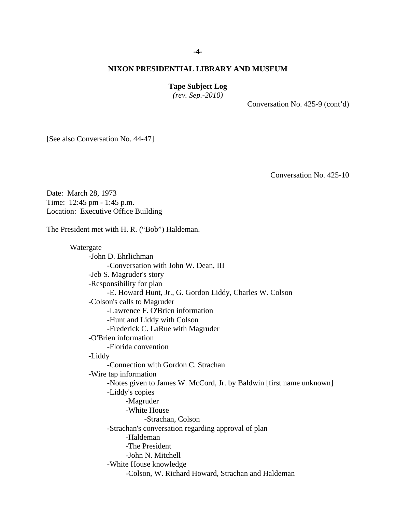## **-4-**

## **NIXON PRESIDENTIAL LIBRARY AND MUSEUM**

#### **Tape Subject Log**

*(rev. Sep.-2010)*

Conversation No. 425-9 (cont'd)

[See also Conversation No. 44-47]

Conversation No. 425-10

Date: March 28, 1973 Time: 12:45 pm - 1:45 p.m. Location: Executive Office Building

## The President met with H. R. ("Bob") Haldeman.

Watergate -John D. Ehrlichman -Conversation with John W. Dean, III -Jeb S. Magruder's story -Responsibility for plan -E. Howard Hunt, Jr., G. Gordon Liddy, Charles W. Colson -Colson's calls to Magruder -Lawrence F. O'Brien information -Hunt and Liddy with Colson -Frederick C. LaRue with Magruder -O'Brien information -Florida convention -Liddy -Connection with Gordon C. Strachan -Wire tap information -Notes given to James W. McCord, Jr. by Baldwin [first name unknown] -Liddy's copies -Magruder -White House -Strachan, Colson -Strachan's conversation regarding approval of plan -Haldeman -The President -John N. Mitchell -White House knowledge -Colson, W. Richard Howard, Strachan and Haldeman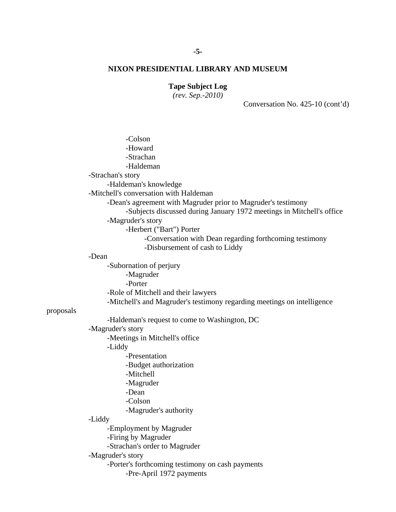# **Tape Subject Log**

*(rev. Sep.-2010)*

Conversation No. 425-10 (cont'd)

|           | -Colson                                                                                                                                |
|-----------|----------------------------------------------------------------------------------------------------------------------------------------|
|           | -Howard                                                                                                                                |
|           | -Strachan                                                                                                                              |
|           | -Haldeman                                                                                                                              |
|           | -Strachan's story                                                                                                                      |
|           | -Haldeman's knowledge                                                                                                                  |
|           | -Mitchell's conversation with Haldeman                                                                                                 |
|           | -Dean's agreement with Magruder prior to Magruder's testimony<br>-Subjects discussed during January 1972 meetings in Mitchell's office |
|           | -Magruder's story                                                                                                                      |
|           | -Herbert ("Bart") Porter                                                                                                               |
|           | -Conversation with Dean regarding forthcoming testimony<br>-Disbursement of cash to Liddy                                              |
|           | -Dean                                                                                                                                  |
|           | -Subornation of perjury                                                                                                                |
|           | -Magruder                                                                                                                              |
|           | -Porter                                                                                                                                |
|           | -Role of Mitchell and their lawyers                                                                                                    |
|           | -Mitchell's and Magruder's testimony regarding meetings on intelligence                                                                |
| proposals |                                                                                                                                        |
|           | -Haldeman's request to come to Washington, DC                                                                                          |
|           | -Magruder's story                                                                                                                      |
|           | -Meetings in Mitchell's office                                                                                                         |
|           | -Liddy                                                                                                                                 |
|           | -Presentation                                                                                                                          |
|           | -Budget authorization                                                                                                                  |
|           | -Mitchell                                                                                                                              |
|           | -Magruder                                                                                                                              |
|           | -Dean                                                                                                                                  |
|           | -Colson                                                                                                                                |
|           | -Magruder's authority                                                                                                                  |
|           | -Liddy                                                                                                                                 |
|           | -Employment by Magruder                                                                                                                |
|           | -Firing by Magruder                                                                                                                    |
|           | -Strachan's order to Magruder                                                                                                          |
|           | -Magruder's story                                                                                                                      |
|           | -Porter's forthcoming testimony on cash payments                                                                                       |
|           | -Pre-April 1972 payments                                                                                                               |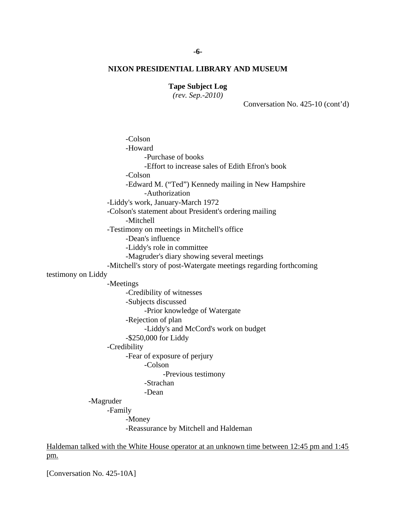## **Tape Subject Log**

*(rev. Sep.-2010)*

Conversation No. 425-10 (cont'd)

-Colson -Howard -Purchase of books -Effort to increase sales of Edith Efron's book -Colson -Edward M. ("Ted") Kennedy mailing in New Hampshire -Authorization -Liddy's work, January-March 1972 -Colson's statement about President's ordering mailing -Mitchell -Testimony on meetings in Mitchell's office -Dean's influence -Liddy's role in committee -Magruder's diary showing several meetings -Mitchell's story of post-Watergate meetings regarding forthcoming testimony on Liddy -Meetings -Credibility of witnesses -Subjects discussed -Prior knowledge of Watergate -Rejection of plan -Liddy's and McCord's work on budget -\$250,000 for Liddy -Credibility -Fear of exposure of perjury -Colson -Previous testimony -Strachan -Dean -Magruder -Family -Money -Reassurance by Mitchell and Haldeman Haldeman talked with the White House operator at an unknown time between 12:45 pm and 1:45

[Conversation No. 425-10A]

pm.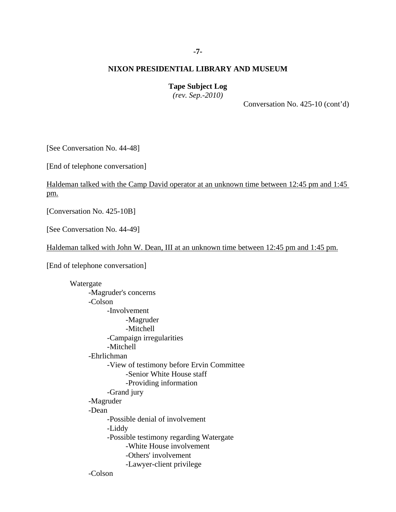## **-7-**

## **NIXON PRESIDENTIAL LIBRARY AND MUSEUM**

## **Tape Subject Log**

*(rev. Sep.-2010)*

Conversation No. 425-10 (cont'd)

[See Conversation No. 44-48]

[End of telephone conversation]

# Haldeman talked with the Camp David operator at an unknown time between 12:45 pm and 1:45 pm.

[Conversation No. 425-10B]

[See Conversation No. 44-49]

Haldeman talked with John W. Dean, III at an unknown time between 12:45 pm and 1:45 pm.

[End of telephone conversation]

Watergate -Magruder's concerns -Colson -Involvement -Magruder -Mitchell -Campaign irregularities -Mitchell -Ehrlichman -View of testimony before Ervin Committee -Senior White House staff -Providing information -Grand jury -Magruder -Dean -Possible denial of involvement -Liddy -Possible testimony regarding Watergate -White House involvement -Others' involvement -Lawyer-client privilege -Colson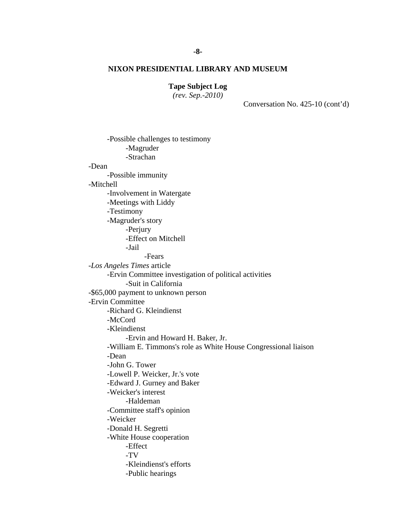## **Tape Subject Log**

*(rev. Sep.-2010)*

Conversation No. 425-10 (cont'd)

-Possible challenges to testimony -Magruder -Strachan -Dean -Possible immunity -Mitchell -Involvement in Watergate -Meetings with Liddy -Testimony -Magruder's story -Perjury -Effect on Mitchell -Jail -Fears -*Los Angeles Times* article -Ervin Committee investigation of political activities -Suit in California -\$65,000 payment to unknown person -Ervin Committee -Richard G. Kleindienst -McCord -Kleindienst -Ervin and Howard H. Baker, Jr. -William E. Timmons's role as White House Congressional liaison -Dean -John G. Tower -Lowell P. Weicker, Jr.'s vote -Edward J. Gurney and Baker -Weicker's interest -Haldeman -Committee staff's opinion -Weicker -Donald H. Segretti -White House cooperation -Effect -TV -Kleindienst's efforts -Public hearings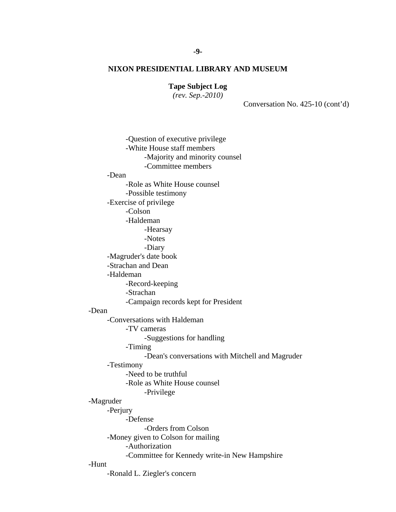**Tape Subject Log**

*(rev. Sep.-2010)*

Conversation No. 425-10 (cont'd)

-Question of executive privilege -White House staff members -Majority and minority counsel -Committee members -Dean -Role as White House counsel -Possible testimony -Exercise of privilege -Colson -Haldeman -Hearsay -Notes -Diary -Magruder's date book -Strachan and Dean -Haldeman -Record-keeping -Strachan -Campaign records kept for President -Dean -Conversations with Haldeman -TV cameras -Suggestions for handling -Timing -Dean's conversations with Mitchell and Magruder -Testimony -Need to be truthful -Role as White House counsel -Privilege -Magruder -Perjury -Defense -Orders from Colson -Money given to Colson for mailing -Authorization -Committee for Kennedy write-in New Hampshire -Hunt -Ronald L. Ziegler's concern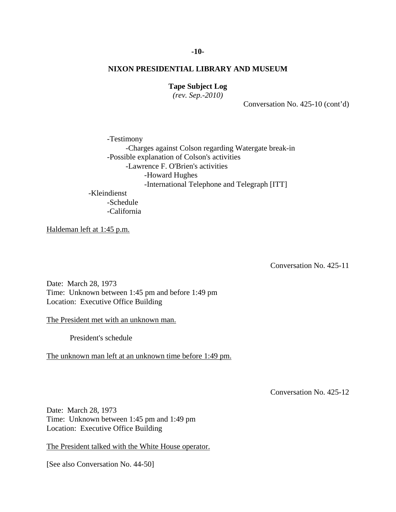# **Tape Subject Log**

*(rev. Sep.-2010)*

Conversation No. 425-10 (cont'd)

-Testimony -Charges against Colson regarding Watergate break-in -Possible explanation of Colson's activities -Lawrence F. O'Brien's activities -Howard Hughes -International Telephone and Telegraph [ITT] -Kleindienst -Schedule

-California

Haldeman left at 1:45 p.m.

Conversation No. 425-11

Date: March 28, 1973 Time: Unknown between 1:45 pm and before 1:49 pm Location: Executive Office Building

The President met with an unknown man.

President's schedule

The unknown man left at an unknown time before 1:49 pm.

Conversation No. 425-12

Date: March 28, 1973 Time: Unknown between 1:45 pm and 1:49 pm Location: Executive Office Building

The President talked with the White House operator.

[See also Conversation No. 44-50]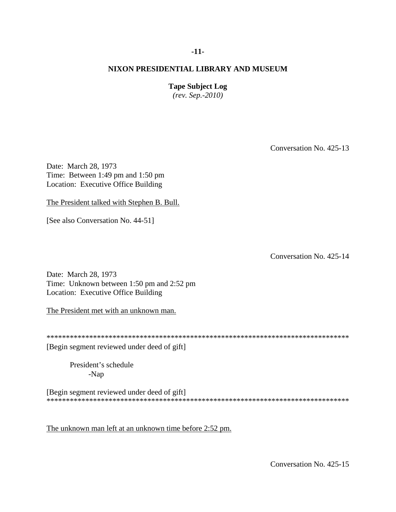## **-11-**

## **NIXON PRESIDENTIAL LIBRARY AND MUSEUM**

## **Tape Subject Log**

*(rev. Sep.-2010)*

Conversation No. 425-13

Date: March 28, 1973 Time: Between 1:49 pm and 1:50 pm Location: Executive Office Building

The President talked with Stephen B. Bull.

[See also Conversation No. 44-51]

Conversation No. 425-14

Date: March 28, 1973 Time: Unknown between 1:50 pm and 2:52 pm Location: Executive Office Building

The President met with an unknown man.

\*\*\*\*\*\*\*\*\*\*\*\*\*\*\*\*\*\*\*\*\*\*\*\*\*\*\*\*\*\*\*\*\*\*\*\*\*\*\*\*\*\*\*\*\*\*\*\*\*\*\*\*\*\*\*\*\*\*\*\*\*\*\*\*\*\*\*\*\*\*\*\*\*\*\*\*\*\*

[Begin segment reviewed under deed of gift]

President's schedule -Nap

[Begin segment reviewed under deed of gift] \*\*\*\*\*\*\*\*\*\*\*\*\*\*\*\*\*\*\*\*\*\*\*\*\*\*\*\*\*\*\*\*\*\*\*\*\*\*\*\*\*\*\*\*\*\*\*\*\*\*\*\*\*\*\*\*\*\*\*\*\*\*\*\*\*\*\*\*\*\*\*\*\*\*\*\*\*\*

The unknown man left at an unknown time before 2:52 pm.

Conversation No. 425-15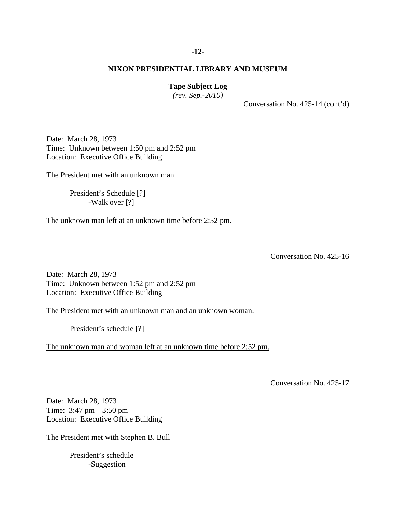## **-12-**

## **NIXON PRESIDENTIAL LIBRARY AND MUSEUM**

## **Tape Subject Log**

*(rev. Sep.-2010)*

Conversation No. 425-14 (cont'd)

Date: March 28, 1973 Time: Unknown between 1:50 pm and 2:52 pm Location: Executive Office Building

The President met with an unknown man.

President's Schedule [?] -Walk over [?]

The unknown man left at an unknown time before 2:52 pm.

Conversation No. 425-16

Date: March 28, 1973 Time: Unknown between 1:52 pm and 2:52 pm Location: Executive Office Building

The President met with an unknown man and an unknown woman.

President's schedule [?]

The unknown man and woman left at an unknown time before 2:52 pm.

Conversation No. 425-17

Date: March 28, 1973 Time: 3:47 pm – 3:50 pm Location: Executive Office Building

The President met with Stephen B. Bull

President's schedule -Suggestion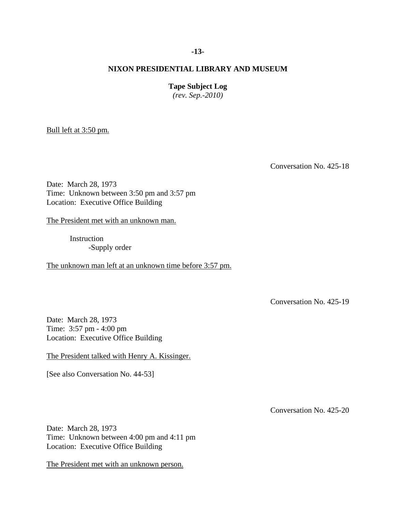## **-13-**

## **NIXON PRESIDENTIAL LIBRARY AND MUSEUM**

## **Tape Subject Log**

*(rev. Sep.-2010)*

Bull left at 3:50 pm.

Conversation No. 425-18

Date: March 28, 1973 Time: Unknown between 3:50 pm and 3:57 pm Location: Executive Office Building

The President met with an unknown man.

Instruction -Supply order

The unknown man left at an unknown time before 3:57 pm.

Conversation No. 425-19

Date: March 28, 1973 Time: 3:57 pm - 4:00 pm Location: Executive Office Building

The President talked with Henry A. Kissinger.

[See also Conversation No. 44-53]

Conversation No. 425-20

Date: March 28, 1973 Time: Unknown between 4:00 pm and 4:11 pm Location: Executive Office Building

The President met with an unknown person.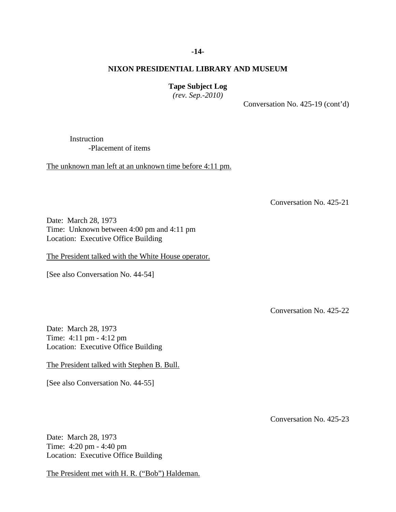## **-14-**

## **NIXON PRESIDENTIAL LIBRARY AND MUSEUM**

## **Tape Subject Log**

*(rev. Sep.-2010)*

Conversation No. 425-19 (cont'd)

Instruction -Placement of items

The unknown man left at an unknown time before 4:11 pm.

Conversation No. 425-21

Date: March 28, 1973 Time: Unknown between 4:00 pm and 4:11 pm Location: Executive Office Building

The President talked with the White House operator.

[See also Conversation No. 44-54]

Conversation No. 425-22

Date: March 28, 1973 Time: 4:11 pm - 4:12 pm Location: Executive Office Building

The President talked with Stephen B. Bull.

[See also Conversation No. 44-55]

Date: March 28, 1973 Time: 4:20 pm - 4:40 pm Location: Executive Office Building

The President met with H. R. ("Bob") Haldeman.

Conversation No. 425-23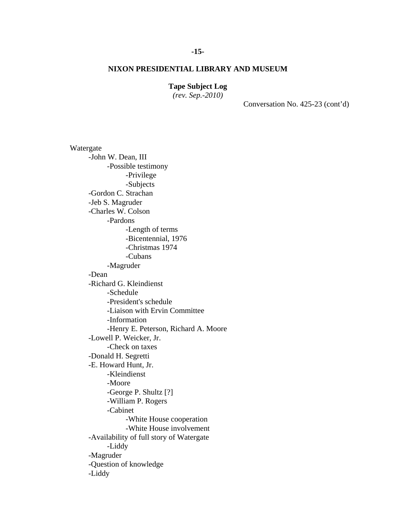## **Tape Subject Log**

*(rev. Sep.-2010)*

Conversation No. 425-23 (cont'd)

Watergate -John W. Dean, III -Possible testimony -Privilege -Subjects -Gordon C. Strachan -Jeb S. Magruder -Charles W. Colson -Pardons -Length of terms -Bicentennial, 1976 -Christmas 1974 -Cubans -Magruder -Dean -Richard G. Kleindienst -Schedule -President's schedule -Liaison with Ervin Committee -Information -Henry E. Peterson, Richard A. Moore -Lowell P. Weicker, Jr. -Check on taxes -Donald H. Segretti -E. Howard Hunt, Jr. -Kleindienst -Moore -George P. Shultz [?] -William P. Rogers -Cabinet -White House cooperation -White House involvement -Availability of full story of Watergate -Liddy -Magruder -Question of knowledge -Liddy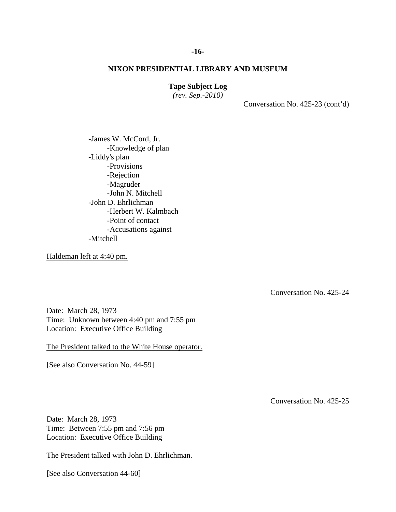## **Tape Subject Log**

*(rev. Sep.-2010)*

Conversation No. 425-23 (cont'd)

-James W. McCord, Jr. -Knowledge of plan -Liddy's plan -Provisions -Rejection -Magruder -John N. Mitchell -John D. Ehrlichman -Herbert W. Kalmbach -Point of contact -Accusations against -Mitchell

Haldeman left at 4:40 pm.

Conversation No. 425-24

Date: March 28, 1973 Time: Unknown between 4:40 pm and 7:55 pm Location: Executive Office Building

The President talked to the White House operator.

[See also Conversation No. 44-59]

Conversation No. 425-25

Date: March 28, 1973 Time: Between 7:55 pm and 7:56 pm Location: Executive Office Building

The President talked with John D. Ehrlichman.

[See also Conversation 44-60]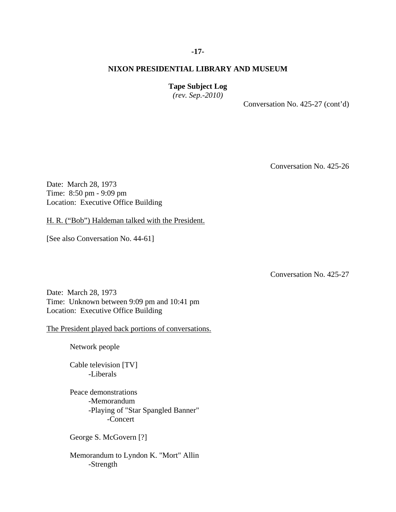# **Tape Subject Log**

*(rev. Sep.-2010)*

Conversation No. 425-27 (cont'd)

Conversation No. 425-26

Date: March 28, 1973 Time: 8:50 pm - 9:09 pm Location: Executive Office Building

H. R. ("Bob") Haldeman talked with the President.

[See also Conversation No. 44-61]

Conversation No. 425-27

Date: March 28, 1973 Time: Unknown between 9:09 pm and 10:41 pm Location: Executive Office Building

The President played back portions of conversations.

Network people

Cable television [TV] -Liberals

Peace demonstrations -Memorandum -Playing of "Star Spangled Banner" -Concert

George S. McGovern [?]

Memorandum to Lyndon K. "Mort" Allin -Strength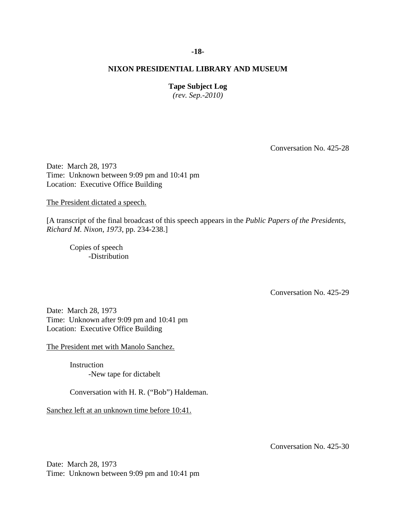## **-18-**

## **NIXON PRESIDENTIAL LIBRARY AND MUSEUM**

## **Tape Subject Log**

*(rev. Sep.-2010)*

Conversation No. 425-28

Date: March 28, 1973 Time: Unknown between 9:09 pm and 10:41 pm Location: Executive Office Building

The President dictated a speech.

[A transcript of the final broadcast of this speech appears in the *Public Papers of the Presidents, Richard M. Nixon*, *1973*, pp. 234-238.]

Copies of speech -Distribution

Conversation No. 425-29

Date: March 28, 1973 Time: Unknown after 9:09 pm and 10:41 pm Location: Executive Office Building

The President met with Manolo Sanchez.

**Instruction** -New tape for dictabelt

Conversation with H. R. ("Bob") Haldeman.

Sanchez left at an unknown time before 10:41.

Conversation No. 425-30

Date: March 28, 1973 Time: Unknown between 9:09 pm and 10:41 pm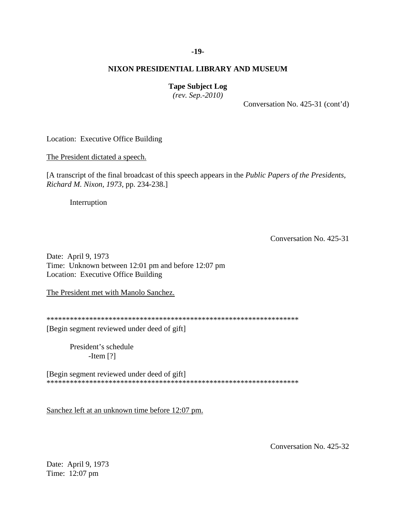## **-19-**

## **NIXON PRESIDENTIAL LIBRARY AND MUSEUM**

## **Tape Subject Log**

*(rev. Sep.-2010)*

Conversation No. 425-31 (cont'd)

Location: Executive Office Building

The President dictated a speech.

[A transcript of the final broadcast of this speech appears in the *Public Papers of the Presidents, Richard M. Nixon, 1973*, pp. 234-238.]

Interruption

Conversation No. 425-31

Date: April 9, 1973 Time: Unknown between 12:01 pm and before 12:07 pm Location: Executive Office Building

The President met with Manolo Sanchez.

\*\*\*\*\*\*\*\*\*\*\*\*\*\*\*\*\*\*\*\*\*\*\*\*\*\*\*\*\*\*\*\*\*\*\*\*\*\*\*\*\*\*\*\*\*\*\*\*\*\*\*\*\*\*\*\*\*\*\*\*\*\*\*\*\*

[Begin segment reviewed under deed of gift]

President's schedule -Item [?]

[Begin segment reviewed under deed of gift] \*\*\*\*\*\*\*\*\*\*\*\*\*\*\*\*\*\*\*\*\*\*\*\*\*\*\*\*\*\*\*\*\*\*\*\*\*\*\*\*\*\*\*\*\*\*\*\*\*\*\*\*\*\*\*\*\*\*\*\*\*\*\*\*\*

Sanchez left at an unknown time before 12:07 pm.

Conversation No. 425-32

Date: April 9, 1973 Time: 12:07 pm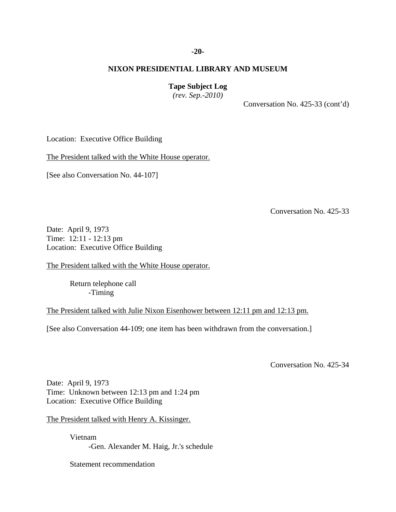## **-20-**

## **NIXON PRESIDENTIAL LIBRARY AND MUSEUM**

## **Tape Subject Log**

*(rev. Sep.-2010)*

Conversation No. 425-33 (cont'd)

Location: Executive Office Building

The President talked with the White House operator.

[See also Conversation No. 44-107]

Conversation No. 425-33

Date: April 9, 1973 Time: 12:11 - 12:13 pm Location: Executive Office Building

The President talked with the White House operator.

Return telephone call -Timing

The President talked with Julie Nixon Eisenhower between 12:11 pm and 12:13 pm.

[See also Conversation 44-109; one item has been withdrawn from the conversation.]

Conversation No. 425-34

Date: April 9, 1973 Time: Unknown between 12:13 pm and 1:24 pm Location: Executive Office Building

The President talked with Henry A. Kissinger.

Vietnam -Gen. Alexander M. Haig, Jr.'s schedule

Statement recommendation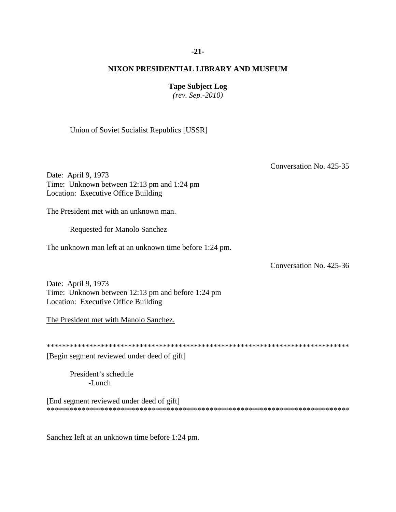## **-21-**

## **NIXON PRESIDENTIAL LIBRARY AND MUSEUM**

## **Tape Subject Log**

*(rev. Sep.-2010)*

Union of Soviet Socialist Republics [USSR]

Conversation No. 425-35

Date: April 9, 1973 Time: Unknown between 12:13 pm and 1:24 pm Location: Executive Office Building

The President met with an unknown man.

Requested for Manolo Sanchez

The unknown man left at an unknown time before 1:24 pm.

Conversation No. 425-36

Date: April 9, 1973 Time: Unknown between 12:13 pm and before 1:24 pm Location: Executive Office Building

The President met with Manolo Sanchez.

\*\*\*\*\*\*\*\*\*\*\*\*\*\*\*\*\*\*\*\*\*\*\*\*\*\*\*\*\*\*\*\*\*\*\*\*\*\*\*\*\*\*\*\*\*\*\*\*\*\*\*\*\*\*\*\*\*\*\*\*\*\*\*\*\*\*\*\*\*\*\*\*\*\*\*\*\*\* [Begin segment reviewed under deed of gift]

President's schedule -Lunch

[End segment reviewed under deed of gift] \*\*\*\*\*\*\*\*\*\*\*\*\*\*\*\*\*\*\*\*\*\*\*\*\*\*\*\*\*\*\*\*\*\*\*\*\*\*\*\*\*\*\*\*\*\*\*\*\*\*\*\*\*\*\*\*\*\*\*\*\*\*\*\*\*\*\*\*\*\*\*\*\*\*\*\*\*\*

Sanchez left at an unknown time before 1:24 pm.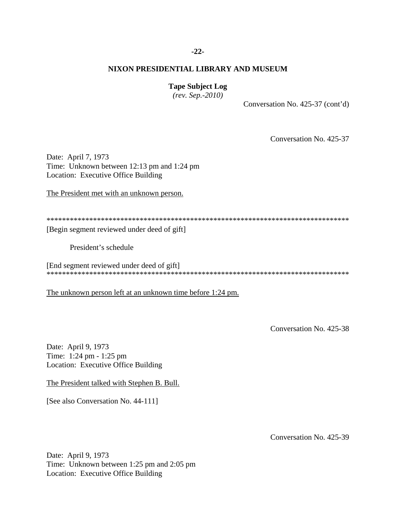## **-22-**

## **NIXON PRESIDENTIAL LIBRARY AND MUSEUM**

## **Tape Subject Log**

*(rev. Sep.-2010)*

Conversation No. 425-37 (cont'd)

Conversation No. 425-37

Date: April 7, 1973 Time: Unknown between 12:13 pm and 1:24 pm Location: Executive Office Building

The President met with an unknown person.

\*\*\*\*\*\*\*\*\*\*\*\*\*\*\*\*\*\*\*\*\*\*\*\*\*\*\*\*\*\*\*\*\*\*\*\*\*\*\*\*\*\*\*\*\*\*\*\*\*\*\*\*\*\*\*\*\*\*\*\*\*\*\*\*\*\*\*\*\*\*\*\*\*\*\*\*\*\* [Begin segment reviewed under deed of gift]

President's schedule

[End segment reviewed under deed of gift] \*\*\*\*\*\*\*\*\*\*\*\*\*\*\*\*\*\*\*\*\*\*\*\*\*\*\*\*\*\*\*\*\*\*\*\*\*\*\*\*\*\*\*\*\*\*\*\*\*\*\*\*\*\*\*\*\*\*\*\*\*\*\*\*\*\*\*\*\*\*\*\*\*\*\*\*\*\*

The unknown person left at an unknown time before 1:24 pm.

Conversation No. 425-38

Date: April 9, 1973 Time: 1:24 pm - 1:25 pm Location: Executive Office Building

The President talked with Stephen B. Bull.

[See also Conversation No. 44-111]

Conversation No. 425-39

Date: April 9, 1973 Time: Unknown between 1:25 pm and 2:05 pm Location: Executive Office Building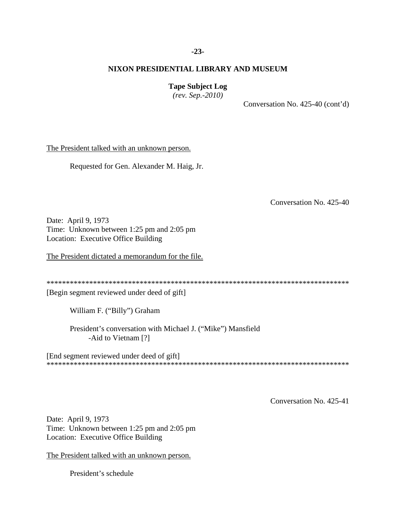## **-23-**

## **NIXON PRESIDENTIAL LIBRARY AND MUSEUM**

## **Tape Subject Log**

*(rev. Sep.-2010)*

Conversation No. 425-40 (cont'd)

The President talked with an unknown person.

Requested for Gen. Alexander M. Haig, Jr.

Conversation No. 425-40

Date: April 9, 1973 Time: Unknown between 1:25 pm and 2:05 pm Location: Executive Office Building

The President dictated a memorandum for the file.

\*\*\*\*\*\*\*\*\*\*\*\*\*\*\*\*\*\*\*\*\*\*\*\*\*\*\*\*\*\*\*\*\*\*\*\*\*\*\*\*\*\*\*\*\*\*\*\*\*\*\*\*\*\*\*\*\*\*\*\*\*\*\*\*\*\*\*\*\*\*\*\*\*\*\*\*\*\*

[Begin segment reviewed under deed of gift]

William F. ("Billy") Graham

President's conversation with Michael J. ("Mike") Mansfield -Aid to Vietnam [?]

[End segment reviewed under deed of gift] \*\*\*\*\*\*\*\*\*\*\*\*\*\*\*\*\*\*\*\*\*\*\*\*\*\*\*\*\*\*\*\*\*\*\*\*\*\*\*\*\*\*\*\*\*\*\*\*\*\*\*\*\*\*\*\*\*\*\*\*\*\*\*\*\*\*\*\*\*\*\*\*\*\*\*\*\*\*

Conversation No. 425-41

Date: April 9, 1973 Time: Unknown between 1:25 pm and 2:05 pm Location: Executive Office Building

The President talked with an unknown person.

President's schedule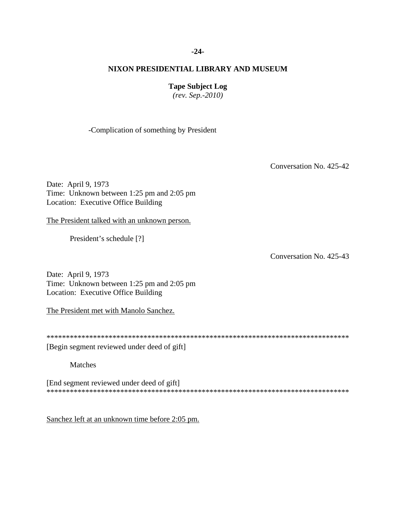## **-24-**

# **NIXON PRESIDENTIAL LIBRARY AND MUSEUM**

**Tape Subject Log**

*(rev. Sep.-2010)*

-Complication of something by President

Conversation No. 425-42

Date: April 9, 1973 Time: Unknown between 1:25 pm and 2:05 pm Location: Executive Office Building

The President talked with an unknown person.

President's schedule [?]

Conversation No. 425-43

Date: April 9, 1973 Time: Unknown between 1:25 pm and 2:05 pm Location: Executive Office Building

The President met with Manolo Sanchez.

\*\*\*\*\*\*\*\*\*\*\*\*\*\*\*\*\*\*\*\*\*\*\*\*\*\*\*\*\*\*\*\*\*\*\*\*\*\*\*\*\*\*\*\*\*\*\*\*\*\*\*\*\*\*\*\*\*\*\*\*\*\*\*\*\*\*\*\*\*\*\*\*\*\*\*\*\*\*

[Begin segment reviewed under deed of gift]

Matches

[End segment reviewed under deed of gift] \*\*\*\*\*\*\*\*\*\*\*\*\*\*\*\*\*\*\*\*\*\*\*\*\*\*\*\*\*\*\*\*\*\*\*\*\*\*\*\*\*\*\*\*\*\*\*\*\*\*\*\*\*\*\*\*\*\*\*\*\*\*\*\*\*\*\*\*\*\*\*\*\*\*\*\*\*\*

Sanchez left at an unknown time before 2:05 pm.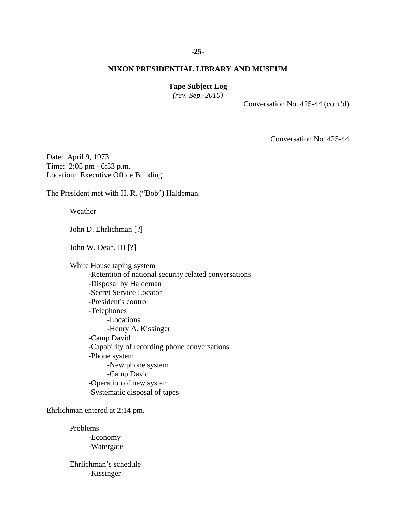# **-25-**

## **NIXON PRESIDENTIAL LIBRARY AND MUSEUM**

## **Tape Subject Log**

*(rev. Sep.-2010)*

Conversation No. 425-44 (cont'd)

Conversation No. 425-44

Date: April 9, 1973 Time: 2:05 pm - 6:33 p.m. Location: Executive Office Building

The President met with H. R. ("Bob") Haldeman.

Weather

John D. Ehrlichman [?]

John W. Dean, III [?]

White House taping system -Retention of national security related conversations -Disposal by Haldeman -Secret Service Locator -President's control -Telephones -Locations -Henry A. Kissinger -Camp David -Capability of recording phone conversations -Phone system -New phone system -Camp David -Operation of new system -Systematic disposal of tapes

Ehrlichman entered at 2:14 pm.

Problems -Economy -Watergate

Ehrlichman's schedule -Kissinger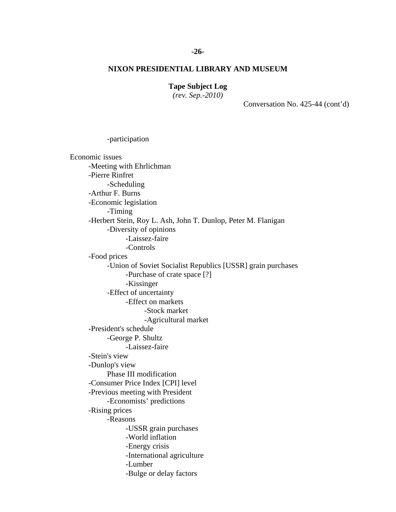## **Tape Subject Log**

*(rev. Sep.-2010)*

-participation

Conversation No. 425-44 (cont'd)

Economic issues -Meeting with Ehrlichman -Pierre Rinfret -Scheduling -Arthur F. Burns -Economic legislation -Timing -Herbert Stein, Roy L. Ash, John T. Dunlop, Peter M. Flanigan -Diversity of opinions -Laissez-faire -Controls -Food prices -Union of Soviet Socialist Republics [USSR] grain purchases -Purchase of crate space [?] -Kissinger -Effect of uncertainty -Effect on markets -Stock market -Agricultural market -President's schedule -George P. Shultz -Laissez-faire -Stein's view -Dunlop's view Phase III modification -Consumer Price Index [CPI] level -Previous meeting with President -Economists' predictions -Rising prices -Reasons -USSR grain purchases -World inflation -Energy crisis -International agriculture -Lumber -Bulge or delay factors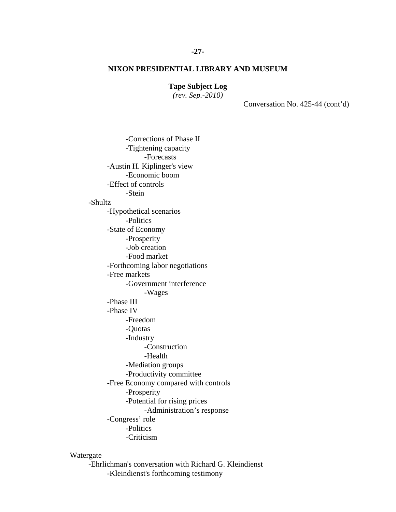**Tape Subject Log**

*(rev. Sep.-2010)*

Conversation No. 425-44 (cont'd)

-Corrections of Phase II -Tightening capacity -Forecasts -Austin H. Kiplinger's view -Economic boom -Effect of controls -Stein -Shultz -Hypothetical scenarios -Politics -State of Economy -Prosperity -Job creation -Food market -Forthcoming labor negotiations -Free markets -Government interference -Wages -Phase III -Phase IV -Freedom -Quotas -Industry -Construction -Health -Mediation groups -Productivity committee -Free Economy compared with controls -Prosperity -Potential for rising prices -Administration's response -Congress' role -Politics -Criticism

## Watergate

-Ehrlichman's conversation with Richard G. Kleindienst -Kleindienst's forthcoming testimony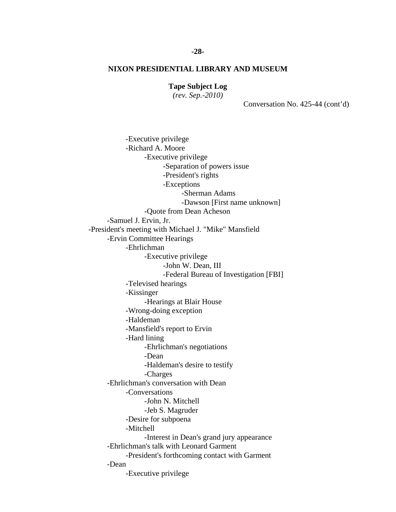# **Tape Subject Log**

*(rev. Sep.-2010)*

Conversation No. 425-44 (cont'd)

-Executive privilege -Richard A. Moore -Executive privilege -Separation of powers issue -President's rights -Exceptions -Sherman Adams -Dawson [First name unknown] -Quote from Dean Acheson -Samuel J. Ervin, Jr. -President's meeting with Michael J. "Mike" Mansfield -Ervin Committee Hearings -Ehrlichman -Executive privilege -John W. Dean, III -Federal Bureau of Investigation [FBI] -Televised hearings -Kissinger -Hearings at Blair House -Wrong-doing exception -Haldeman -Mansfield's report to Ervin -Hard lining -Ehrlichman's negotiations -Dean -Haldeman's desire to testify -Charges -Ehrlichman's conversation with Dean -Conversations -John N. Mitchell -Jeb S. Magruder -Desire for subpoena -Mitchell -Interest in Dean's grand jury appearance -Ehrlichman's talk with Leonard Garment -President's forthcoming contact with Garment -Dean -Executive privilege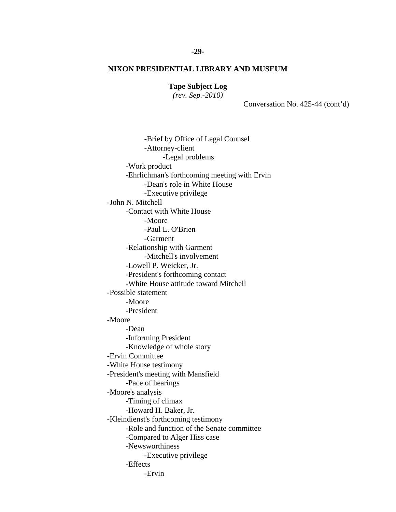**Tape Subject Log**

*(rev. Sep.-2010)*

Conversation No. 425-44 (cont'd)

-Brief by Office of Legal Counsel -Attorney-client -Legal problems -Work product -Ehrlichman's forthcoming meeting with Ervin -Dean's role in White House -Executive privilege -John N. Mitchell -Contact with White House -Moore -Paul L. O'Brien -Garment -Relationship with Garment -Mitchell's involvement -Lowell P. Weicker, Jr. -President's forthcoming contact -White House attitude toward Mitchell -Possible statement -Moore -President -Moore -Dean -Informing President -Knowledge of whole story -Ervin Committee -White House testimony -President's meeting with Mansfield -Pace of hearings -Moore's analysis -Timing of climax -Howard H. Baker, Jr. -Kleindienst's forthcoming testimony -Role and function of the Senate committee -Compared to Alger Hiss case -Newsworthiness -Executive privilege -Effects -Ervin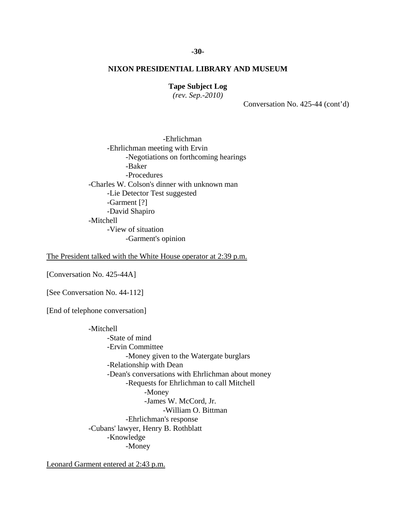## **Tape Subject Log**

*(rev. Sep.-2010)*

Conversation No. 425-44 (cont'd)

-Ehrlichman -Ehrlichman meeting with Ervin -Negotiations on forthcoming hearings -Baker -Procedures -Charles W. Colson's dinner with unknown man -Lie Detector Test suggested -Garment [?] -David Shapiro -Mitchell -View of situation -Garment's opinion

The President talked with the White House operator at 2:39 p.m.

[Conversation No. 425-44A]

[See Conversation No. 44-112]

[End of telephone conversation]

-Mitchell -State of mind -Ervin Committee -Money given to the Watergate burglars -Relationship with Dean -Dean's conversations with Ehrlichman about money -Requests for Ehrlichman to call Mitchell -Money -James W. McCord, Jr. -William O. Bittman -Ehrlichman's response -Cubans' lawyer, Henry B. Rothblatt -Knowledge -Money

Leonard Garment entered at 2:43 p.m.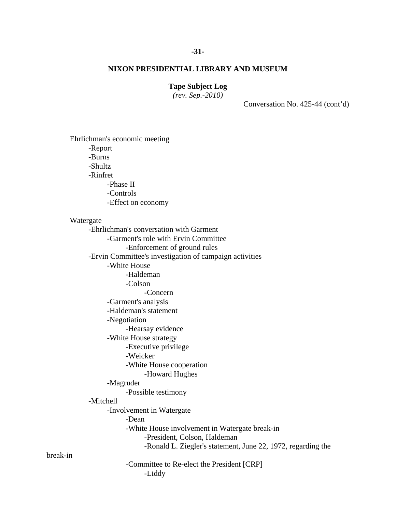## **-31-**

## **NIXON PRESIDENTIAL LIBRARY AND MUSEUM**

## **Tape Subject Log**

*(rev. Sep.-2010)*

Conversation No. 425-44 (cont'd)

Ehrlichman's economic meeting -Report -Burns -Shultz -Rinfret -Phase II -Controls -Effect on economy Watergate -Ehrlichman's conversation with Garment -Garment's role with Ervin Committee -Enforcement of ground rules -Ervin Committee's investigation of campaign activities -White House -Haldeman -Colson -Concern -Garment's analysis -Haldeman's statement -Negotiation -Hearsay evidence -White House strategy -Executive privilege -Weicker -White House cooperation -Howard Hughes -Magruder -Possible testimony -Mitchell -Involvement in Watergate -Dean -White House involvement in Watergate break-in -President, Colson, Haldeman -Ronald L. Ziegler's statement, June 22, 1972, regarding the -Committee to Re-elect the President [CRP] -Liddy

break-in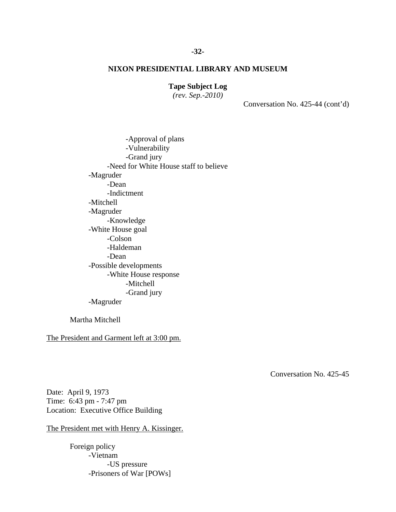## **Tape Subject Log**

*(rev. Sep.-2010)*

Conversation No. 425-44 (cont'd)

-Approval of plans -Vulnerability -Grand jury -Need for White House staff to believe -Magruder -Dean -Indictment -Mitchell -Magruder -Knowledge -White House goal -Colson -Haldeman -Dean -Possible developments -White House response -Mitchell -Grand jury -Magruder

Martha Mitchell

The President and Garment left at 3:00 pm.

Conversation No. 425-45

Date: April 9, 1973 Time: 6:43 pm - 7:47 pm Location: Executive Office Building

The President met with Henry A. Kissinger.

Foreign policy -Vietnam -US pressure -Prisoners of War [POWs]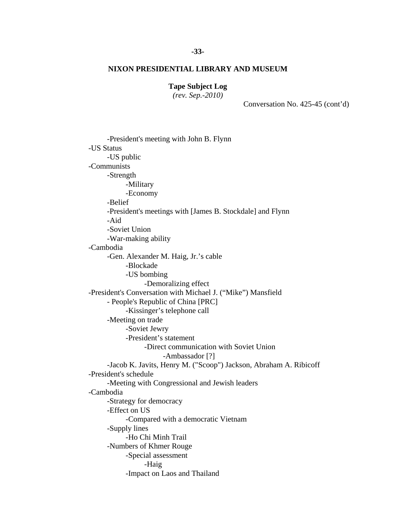**Tape Subject Log**

*(rev. Sep.-2010)*

Conversation No. 425-45 (cont'd)

-President's meeting with John B. Flynn -US Status -US public -Communists -Strength -Military -Economy -Belief -President's meetings with [James B. Stockdale] and Flynn -Aid -Soviet Union -War-making ability -Cambodia -Gen. Alexander M. Haig, Jr.'s cable -Blockade -US bombing -Demoralizing effect -President's Conversation with Michael J. ("Mike") Mansfield - People's Republic of China [PRC] -Kissinger's telephone call -Meeting on trade -Soviet Jewry -President's statement -Direct communication with Soviet Union -Ambassador [?] -Jacob K. Javits, Henry M. ("Scoop") Jackson, Abraham A. Ribicoff -President's schedule -Meeting with Congressional and Jewish leaders -Cambodia -Strategy for democracy -Effect on US -Compared with a democratic Vietnam -Supply lines -Ho Chi Minh Trail -Numbers of Khmer Rouge -Special assessment -Haig -Impact on Laos and Thailand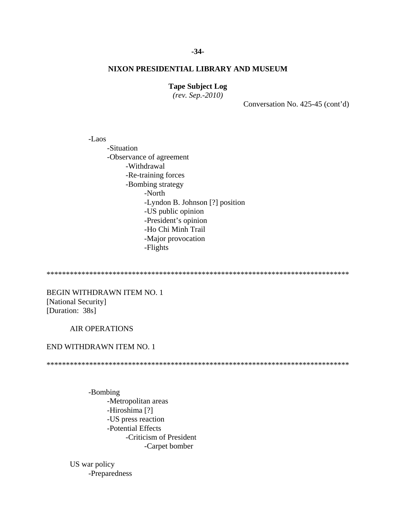## **Tape Subject Log**

*(rev. Sep.-2010)*

Conversation No. 425-45 (cont'd)

-Laos -Situation -Observance of agreement -Withdrawal -Re-training forces -Bombing strategy -North -Lyndon B. Johnson [?] position -US public opinion -President's opinion -Ho Chi Minh Trail -Major provocation -Flights

\*\*\*\*\*\*\*\*\*\*\*\*\*\*\*\*\*\*\*\*\*\*\*\*\*\*\*\*\*\*\*\*\*\*\*\*\*\*\*\*\*\*\*\*\*\*\*\*\*\*\*\*\*\*\*\*\*\*\*\*\*\*\*\*\*\*\*\*\*\*\*\*\*\*\*\*\*\*

BEGIN WITHDRAWN ITEM NO. 1 [National Security] [Duration: 38s]

## AIR OPERATIONS

## END WITHDRAWN ITEM NO. 1

\*\*\*\*\*\*\*\*\*\*\*\*\*\*\*\*\*\*\*\*\*\*\*\*\*\*\*\*\*\*\*\*\*\*\*\*\*\*\*\*\*\*\*\*\*\*\*\*\*\*\*\*\*\*\*\*\*\*\*\*\*\*\*\*\*\*\*\*\*\*\*\*\*\*\*\*\*\*

-Bombing -Metropolitan areas -Hiroshima [?] -US press reaction -Potential Effects -Criticism of President -Carpet bomber

US war policy -Preparedness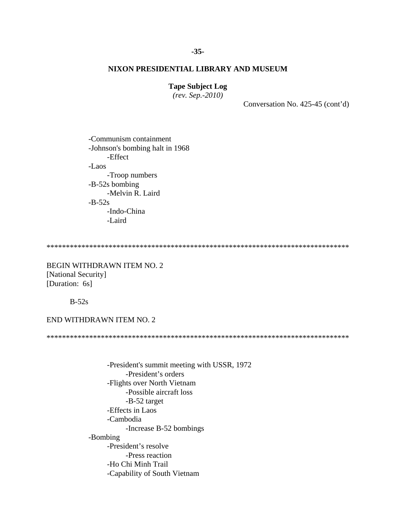## **Tape Subject Log**

*(rev. Sep.-2010)*

Conversation No. 425-45 (cont'd)

-Communism containment -Johnson's bombing halt in 1968 -Effect -Laos -Troop numbers -B-52s bombing -Melvin R. Laird  $-B-52s$ -Indo-China -Laird

\*\*\*\*\*\*\*\*\*\*\*\*\*\*\*\*\*\*\*\*\*\*\*\*\*\*\*\*\*\*\*\*\*\*\*\*\*\*\*\*\*\*\*\*\*\*\*\*\*\*\*\*\*\*\*\*\*\*\*\*\*\*\*\*\*\*\*\*\*\*\*\*\*\*\*\*\*\*

BEGIN WITHDRAWN ITEM NO. 2 [National Security] [Duration: 6s]

B-52s

## END WITHDRAWN ITEM NO. 2

\*\*\*\*\*\*\*\*\*\*\*\*\*\*\*\*\*\*\*\*\*\*\*\*\*\*\*\*\*\*\*\*\*\*\*\*\*\*\*\*\*\*\*\*\*\*\*\*\*\*\*\*\*\*\*\*\*\*\*\*\*\*\*\*\*\*\*\*\*\*\*\*\*\*\*\*\*\*

-President's summit meeting with USSR, 1972 -President's orders -Flights over North Vietnam -Possible aircraft loss -B-52 target -Effects in Laos -Cambodia -Increase B-52 bombings -Bombing -President's resolve -Press reaction -Ho Chi Minh Trail -Capability of South Vietnam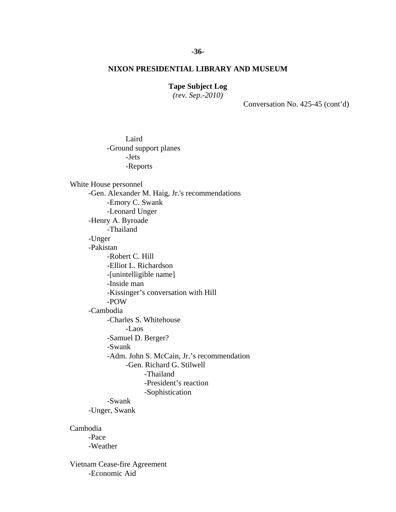## **Tape Subject Log**

*(rev. Sep.-2010)*

Conversation No. 425-45 (cont'd)

Laird -Ground support planes -Jets -Reports

White House personnel -Gen. Alexander M. Haig, Jr.'s recommendations -Emory C. Swank -Leonard Unger -Henry A. Byroade -Thailand -Unger -Pakistan -Robert C. Hill -Elliot L. Richardson -[unintelligible name] -Inside man -Kissinger's conversation with Hill -POW -Cambodia -Charles S. Whitehouse -Laos -Samuel D. Berger? -Swank -Adm. John S. McCain, Jr.'s recommendation -Gen. Richard G. Stilwell -Thailand -President's reaction -Sophistication -Swank -Unger, Swank

Cambodia

-Pace -Weather

Vietnam Cease-fire Agreement -Economic Aid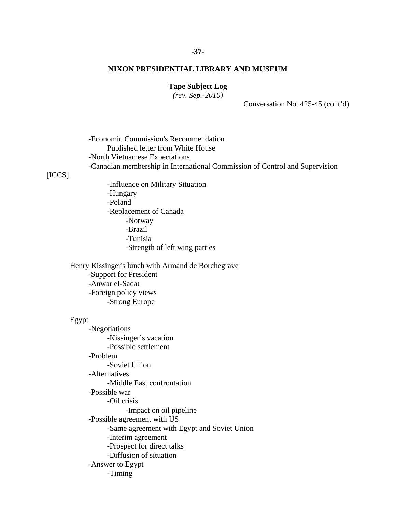## **-37-**

## **NIXON PRESIDENTIAL LIBRARY AND MUSEUM**

## **Tape Subject Log**

*(rev. Sep.-2010)*

Conversation No. 425-45 (cont'd)

-Economic Commission's Recommendation Published letter from White House -North Vietnamese Expectations -Canadian membership in International Commission of Control and Supervision

[ICCS]

-Influence on Military Situation -Hungary -Poland -Replacement of Canada -Norway -Brazil -Tunisia -Strength of left wing parties

Henry Kissinger's lunch with Armand de Borchegrave -Support for President -Anwar el-Sadat -Foreign policy views -Strong Europe

## Egypt

-Negotiations -Kissinger's vacation -Possible settlement -Problem -Soviet Union -Alternatives -Middle East confrontation -Possible war -Oil crisis -Impact on oil pipeline -Possible agreement with US -Same agreement with Egypt and Soviet Union -Interim agreement -Prospect for direct talks -Diffusion of situation -Answer to Egypt -Timing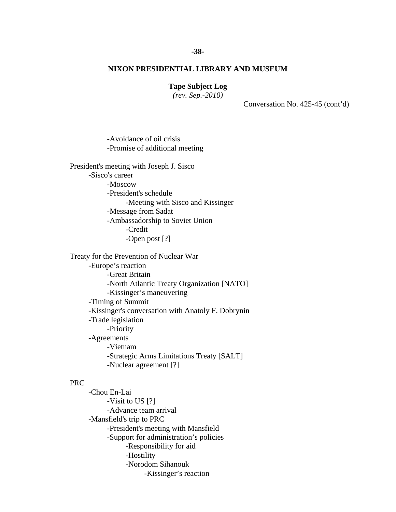# **Tape Subject Log**

*(rev. Sep.-2010)*

Conversation No. 425-45 (cont'd)

-Avoidance of oil crisis -Promise of additional meeting

President's meeting with Joseph J. Sisco -Sisco's career -Moscow -President's schedule -Meeting with Sisco and Kissinger -Message from Sadat -Ambassadorship to Soviet Union -Credit -Open post [?]

Treaty for the Prevention of Nuclear War -Europe's reaction -Great Britain -North Atlantic Treaty Organization [NATO] -Kissinger's maneuvering -Timing of Summit -Kissinger's conversation with Anatoly F. Dobrynin -Trade legislation -Priority -Agreements -Vietnam -Strategic Arms Limitations Treaty [SALT] -Nuclear agreement [?]

## PRC

-Chou En-Lai -Visit to US [?] -Advance team arrival -Mansfield's trip to PRC -President's meeting with Mansfield -Support for administration's policies -Responsibility for aid -Hostility -Norodom Sihanouk -Kissinger's reaction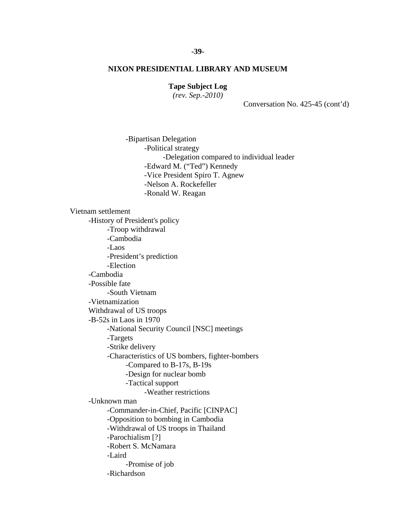# **Tape Subject Log**

*(rev. Sep.-2010)*

Conversation No. 425-45 (cont'd)

-Bipartisan Delegation -Political strategy -Delegation compared to individual leader -Edward M. ("Ted") Kennedy -Vice President Spiro T. Agnew -Nelson A. Rockefeller -Ronald W. Reagan

Vietnam settlement -History of President's policy -Troop withdrawal -Cambodia -Laos -President's prediction -Election -Cambodia -Possible fate -South Vietnam -Vietnamization Withdrawal of US troops -B-52s in Laos in 1970 -National Security Council [NSC] meetings -Targets -Strike delivery -Characteristics of US bombers, fighter-bombers -Compared to B-17s, B-19s -Design for nuclear bomb -Tactical support -Weather restrictions -Unknown man -Commander-in-Chief, Pacific [CINPAC] -Opposition to bombing in Cambodia -Withdrawal of US troops in Thailand -Parochialism [?] -Robert S. McNamara -Laird -Promise of job -Richardson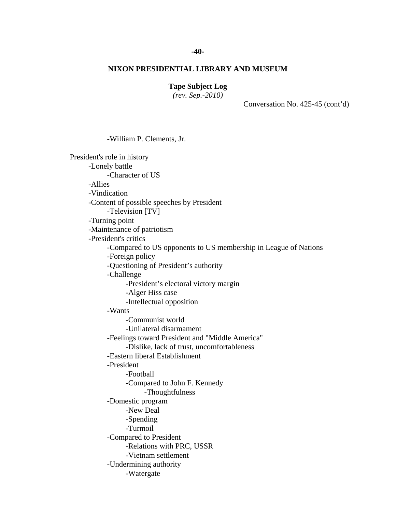## **-40-**

## **NIXON PRESIDENTIAL LIBRARY AND MUSEUM**

## **Tape Subject Log**

*(rev. Sep.-2010)*

Conversation No. 425-45 (cont'd)

-William P. Clements, Jr. President's role in history -Lonely battle -Character of US -Allies -Vindication -Content of possible speeches by President -Television [TV] -Turning point -Maintenance of patriotism -President's critics -Compared to US opponents to US membership in League of Nations -Foreign policy -Questioning of President's authority -Challenge -President's electoral victory margin -Alger Hiss case -Intellectual opposition -Wants -Communist world -Unilateral disarmament -Feelings toward President and "Middle America" -Dislike, lack of trust, uncomfortableness -Eastern liberal Establishment -President -Football -Compared to John F. Kennedy -Thoughtfulness -Domestic program -New Deal -Spending -Turmoil -Compared to President -Relations with PRC, USSR -Vietnam settlement -Undermining authority -Watergate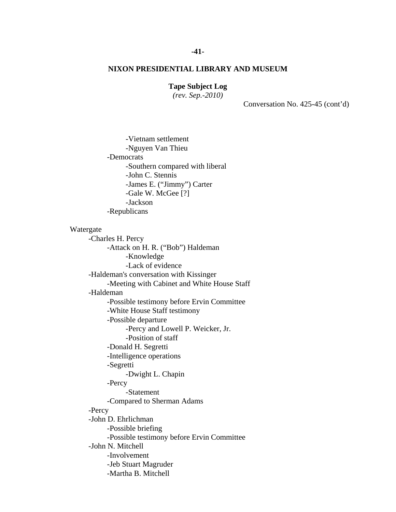## **Tape Subject Log**

*(rev. Sep.-2010)*

Conversation No. 425-45 (cont'd)

-Vietnam settlement -Nguyen Van Thieu -Democrats -Southern compared with liberal -John C. Stennis -James E. ("Jimmy") Carter -Gale W. McGee [?] -Jackson -Republicans

#### Watergate

-Charles H. Percy -Attack on H. R. ("Bob") Haldeman -Knowledge -Lack of evidence -Haldeman's conversation with Kissinger -Meeting with Cabinet and White House Staff -Haldeman -Possible testimony before Ervin Committee -White House Staff testimony -Possible departure -Percy and Lowell P. Weicker, Jr. -Position of staff -Donald H. Segretti -Intelligence operations -Segretti -Dwight L. Chapin -Percy -Statement -Compared to Sherman Adams -Percy -John D. Ehrlichman -Possible briefing -Possible testimony before Ervin Committee -John N. Mitchell -Involvement -Jeb Stuart Magruder -Martha B. Mitchell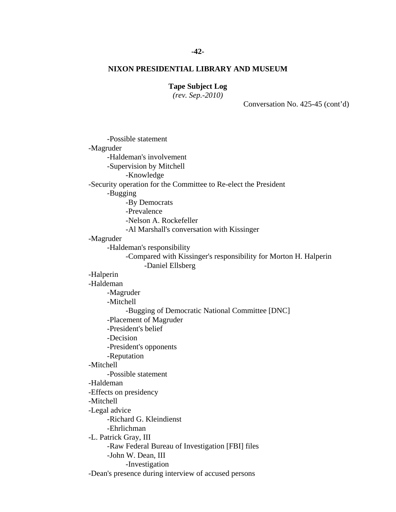## **-42-**

## **NIXON PRESIDENTIAL LIBRARY AND MUSEUM**

# **Tape Subject Log**

*(rev. Sep.-2010)*

Conversation No. 425-45 (cont'd)

-Possible statement -Magruder -Haldeman's involvement -Supervision by Mitchell -Knowledge -Security operation for the Committee to Re-elect the President -Bugging -By Democrats -Prevalence -Nelson A. Rockefeller -Al Marshall's conversation with Kissinger -Magruder -Haldeman's responsibility -Compared with Kissinger's responsibility for Morton H. Halperin -Daniel Ellsberg -Halperin -Haldeman -Magruder -Mitchell -Bugging of Democratic National Committee [DNC] -Placement of Magruder -President's belief -Decision -President's opponents -Reputation -Mitchell -Possible statement -Haldeman -Effects on presidency -Mitchell -Legal advice -Richard G. Kleindienst -Ehrlichman -L. Patrick Gray, III -Raw Federal Bureau of Investigation [FBI] files -John W. Dean, III -Investigation -Dean's presence during interview of accused persons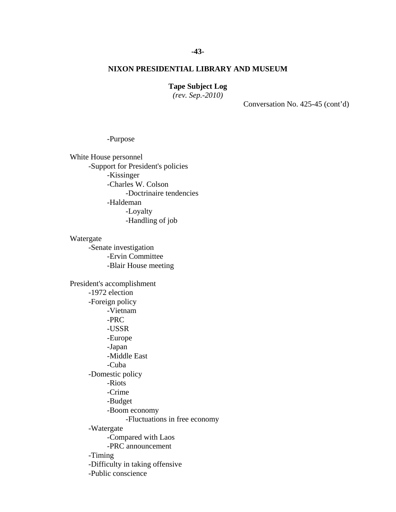## **Tape Subject Log**

*(rev. Sep.-2010)*

Conversation No. 425-45 (cont'd)

## -Purpose

White House personnel -Support for President's policies -Kissinger -Charles W. Colson -Doctrinaire tendencies -Haldeman -Loyalty -Handling of job

Watergate -Senate investigation -Ervin Committee -Blair House meeting President's accomplishment -1972 election -Foreign policy -Vietnam -PRC -USSR -Europe -Japan -Middle East -Cuba -Domestic policy -Riots -Crime -Budget -Boom economy -Fluctuations in free economy -Watergate -Compared with Laos -PRC announcement -Timing -Difficulty in taking offensive -Public conscience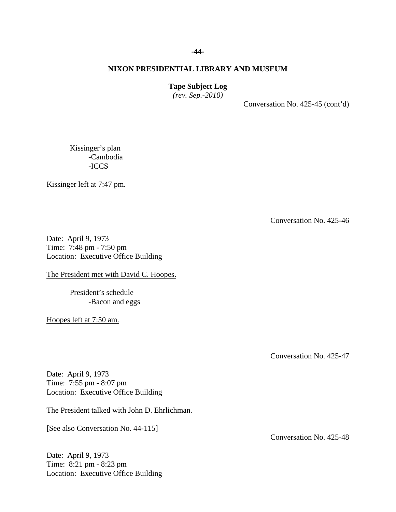## **Tape Subject Log**

*(rev. Sep.-2010)*

Conversation No. 425-45 (cont'd)

Kissinger's plan -Cambodia -ICCS

Kissinger left at 7:47 pm.

Conversation No. 425-46

Date: April 9, 1973 Time: 7:48 pm - 7:50 pm Location: Executive Office Building

The President met with David C. Hoopes.

President's schedule -Bacon and eggs

Hoopes left at 7:50 am.

Conversation No. 425-47

Conversation No. 425-48

Date: April 9, 1973 Time: 7:55 pm - 8:07 pm Location: Executive Office Building

The President talked with John D. Ehrlichman.

[See also Conversation No. 44-115]

Date: April 9, 1973 Time: 8:21 pm - 8:23 pm Location: Executive Office Building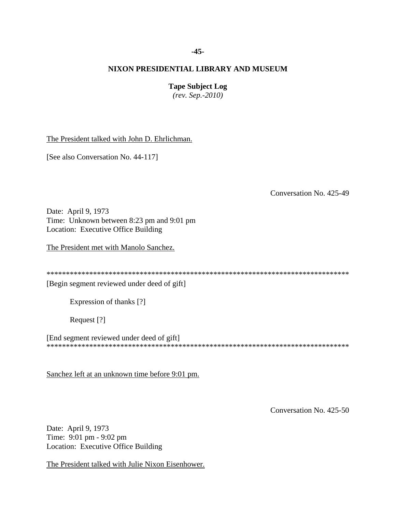## **-45-**

## **NIXON PRESIDENTIAL LIBRARY AND MUSEUM**

## **Tape Subject Log**

*(rev. Sep.-2010)*

The President talked with John D. Ehrlichman.

[See also Conversation No. 44-117]

Conversation No. 425-49

Date: April 9, 1973 Time: Unknown between 8:23 pm and 9:01 pm Location: Executive Office Building

The President met with Manolo Sanchez.

| <b><i>COMPANY</i></b> |
|-----------------------|
|-----------------------|

[Begin segment reviewed under deed of gift]

Expression of thanks [?]

Request [?]

[End segment reviewed under deed of gift] \*\*\*\*\*\*\*\*\*\*\*\*\*\*\*\*\*\*\*\*\*\*\*\*\*\*\*\*\*\*\*\*\*\*\*\*\*\*\*\*\*\*\*\*\*\*\*\*\*\*\*\*\*\*\*\*\*\*\*\*\*\*\*\*\*\*\*\*\*\*\*\*\*\*\*\*\*\*

Sanchez left at an unknown time before 9:01 pm.

Conversation No. 425-50

Date: April 9, 1973 Time: 9:01 pm - 9:02 pm Location: Executive Office Building

The President talked with Julie Nixon Eisenhower.